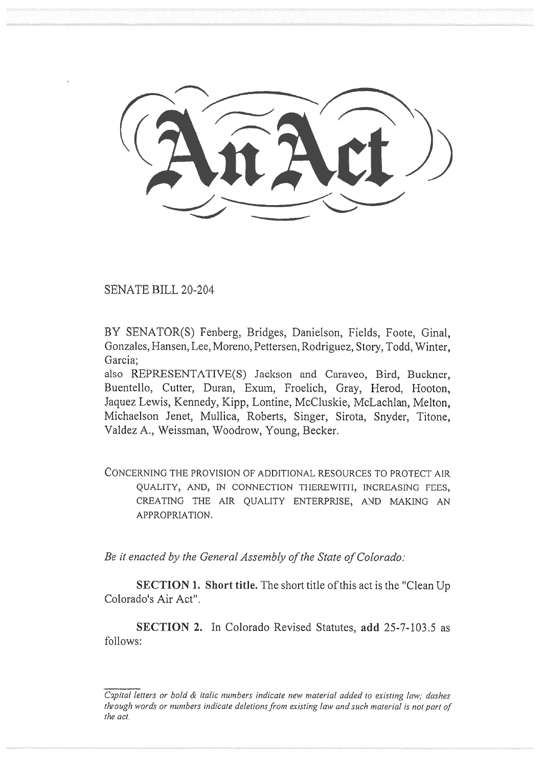SENATE BILL 20-204

BY SENATOR(S) Fenberg, Bridges, Danielson, Fields, Foote, Ginal, Gonzales, Hansen, Lee, Moreno, Pettersen, Rodriguez, Story, Todd, Winter, Garcia;

also REPRESENTATIVE(S) Jackson and Caraveo, Bird, Buckner, Buentello, Cutter, Duran, Exum, Froelich, Gray, Herod, Hooton, Jaquez Lewis, Kennedy, Kipp, Lontine, McCluskie, McLachlan, Melton, Michaelson Jenet, Mullica, Roberts, Singer, Sirota, Snyder, Titone, Valdez A., Weissman, Woodrow, Young, Becker.

CONCERNING THE PROVISION OF ADDITIONAL RESOURCES TO PROTECT AIR QUALITY, AND, IN CONNECTION THEREWITH, INCREASING FEES, CREATING THE AIR QUALITY ENTERPRISE, AND MAKING AN APPROPRIATION.

*Be it enacted by the General Assembly of the State of Colorado:* 

SECTION 1. Short title. The short title of this act is the "Clean Up Colorado's Air Act".

SECTION 2. In Colorado Revised Statutes, add 25-7-103.5 as follows:

Capital letters or bold & italic numbers indicate new material added to existing law; dashes through words or numbers indicate deletions from existing law and such material is not part of the act.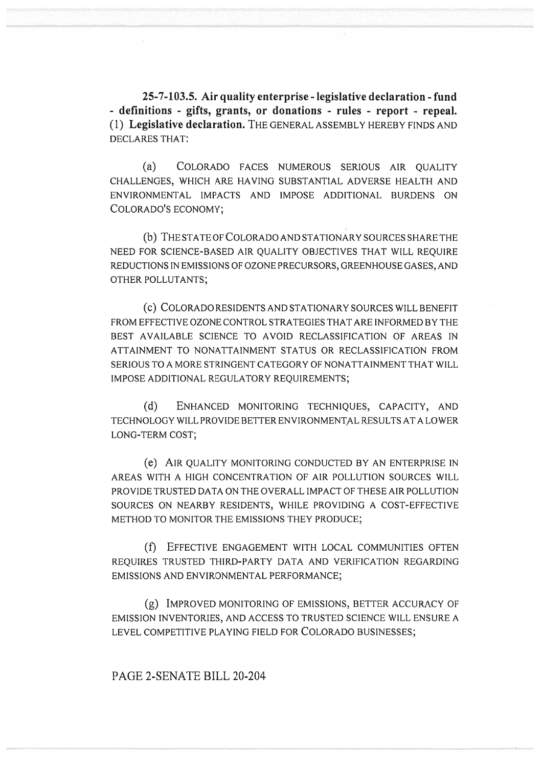**25-7-103.5. Air quality enterprise - legislative declaration - fund - definitions - gifts, grants, or donations - rules - report - repeal.**  (1) **Legislative declaration.** THE GENERAL ASSEMBLY HEREBY FINDS AND DECLARES THAT:

(a) COLORADO FACES NUMEROUS SERIOUS AIR QUALITY CHALLENGES, WHICH ARE HAVING SUBSTANTIAL ADVERSE HEALTH AND ENVIRONMENTAL IMPACTS AND IMPOSE ADDITIONAL BURDENS ON COLORADO'S ECONOMY;

(b) THE STATE OF COLORADO AND STATIONARY SOURCES SHARE THE NEED FOR SCIENCE-BASED AIR QUALITY OBJECTIVES THAT WILL REQUIRE REDUCTIONS IN EMISSIONS OF OZONE PRECURSORS, GREENHOUSE GASES, AND OTHER POLLUTANTS;

(c) COLORADO RESIDENTS AND STATIONARY SOURCES WILL BENEFIT FROM EFFECTIVE OZONE CONTROL STRATEGIES THAT ARE INFORMED BY THE BEST AVAILABLE SCIENCE TO AVOID RECLASSIFICATION OF AREAS IN ATTAINMENT TO NONATTAINMENT STATUS OR RECLASSIFICATION FROM SERIOUS TO A MORE STRINGENT CATEGORY OF NONATTAINMENT THAT WILL IMPOSE ADDITIONAL REGULATORY REQUIREMENTS;

(d) ENHANCED MONITORING TECHNIQUES, CAPACITY, AND TECHNOLOGY WILL PROVIDE BETTER ENVIRONMENTAL RESULTS AT A LOWER LONG-TERM COST;

(e) AIR QUALITY MONITORING CONDUCTED BY AN ENTERPRISE IN AREAS WITH A HIGH CONCENTRATION OF AIR POLLUTION SOURCES WILL PROVIDE TRUSTED DATA ON THE OVERALL IMPACT OF THESE AIR POLLUTION SOURCES ON NEARBY RESIDENTS, WHILE PROVIDING A COST-EFFECTIVE METHOD TO MONITOR THE EMISSIONS THEY PRODUCE;

(f) EFFECTIVE ENGAGEMENT WITH LOCAL COMMUNITIES OFTEN REQUIRES TRUSTED THIRD-PARTY DATA AND VERIFICATION REGARDING EMISSIONS AND ENVIRONMENTAL PERFORMANCE;

(g) IMPROVED MONITORING OF EMISSIONS, BETTER ACCURACY OF EMISSION INVENTORIES, AND ACCESS TO TRUSTED SCIENCE WILL ENSURE A LEVEL COMPETITIVE PLAYING FIELD FOR COLORADO BUSINESSES;

## PAGE 2-SENATE BILL 20-204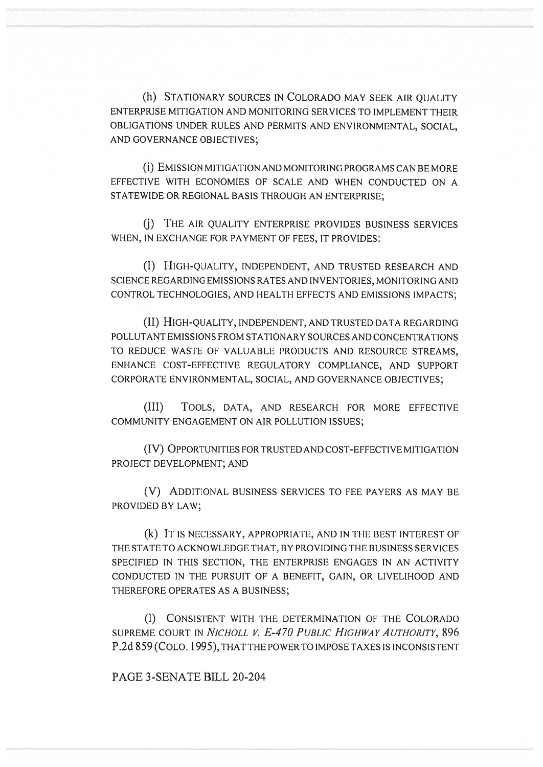(h) STATIONARY SOURCES IN COLORADO MAY SEEK AIR QUALITY ENTERPRISE MITIGATION AND MONITORING SERVICES TO IMPLEMENT THEIR OBLIGATIONS UNDER RULES AND PERMITS AND ENVIRONMENTAL, SOCIAL, AND GOVERNANCE OBJECTIVES;

(I) EMISSION MITIGATION AND MONITORING PROGRAMS CAN BE MORE EFFECTIVE WITH ECONOMIES OF SCALE AND WHEN CONDUCTED ON A STATEWIDE OR REGIONAL BASIS THROUGH AN ENTERPRISE;

(j) THE AIR QUALITY ENTERPRISE PROVIDES BUSINESS SERVICES WHEN, IN EXCHANGE FOR PAYMENT OF FEES, IT PROVIDES:

(I) HIGH-QUALITY, INDEPENDENT, AND TRUSTED RESEARCH AND SCIENCE REGARDING EMISSIONS RATES AND INVENTORIES, MONITORING AND CONTROL TECHNOLOGIES, AND HEALTH EFFECTS AND EMISSIONS IMPACTS;

(II)HIGH-QUALITY, INDEPENDENT, AND TRUSTED DATA REGARDING POLLUTANT EMISSIONS FROM STATIONARY SOURCES AND CONCENTRATIONS TO REDUCE WASTE OF VALUABLE PRODUCTS AND RESOURCE STREAMS, ENHANCE COST-EFFECTIVE REGULATORY COMPLIANCE, AND SUPPORT CORPORATE ENVIRONMENTAL, SOCIAL, AND GOVERNANCE OBJECTIVES;

(III) TOOLS, DATA, AND RESEARCH FOR MORE EFFECTIVE COMMUNITY ENGAGEMENT ON AIR POLLUTION ISSUES;

(IV) OPPORTUNITIES FOR TRUSTED AND COST-EFFECTIVE MITIGATION PROJECT DEVELOPMENT; AND

(V) ADDITIONAL BUSINESS SERVICES TO FEE PAYERS AS MAY BE PROVIDED BY LAW;

(k) IT IS NECESSARY, APPROPRIATE, AND IN THE BEST INTEREST OF THE STATE TO ACKNOWLEDGE THAT, BY PROVIDING THE BUSINESS SERVICES SPECIFIED IN THIS SECTION, THE ENTERPRISE ENGAGES IN AN ACTIVITY CONDUCTED IN THE PURSUIT OF A BENEFIT, GAIN, OR LIVELIHOOD AND THEREFORE OPERATES AS A BUSINESS;

(1) CONSISTENT WITH THE DETERMINATION OF THE COLORADO SUPREME COURT IN *NICHOLL V. E-470 PUBLIC HIGHWAY AUTHORITY,* 896 P.2d 859 (CoLo. 1995), THAT THE POWER TO IMPOSE TAXES IS INCONSISTENT

PAGE 3-SENATE BILL 20-204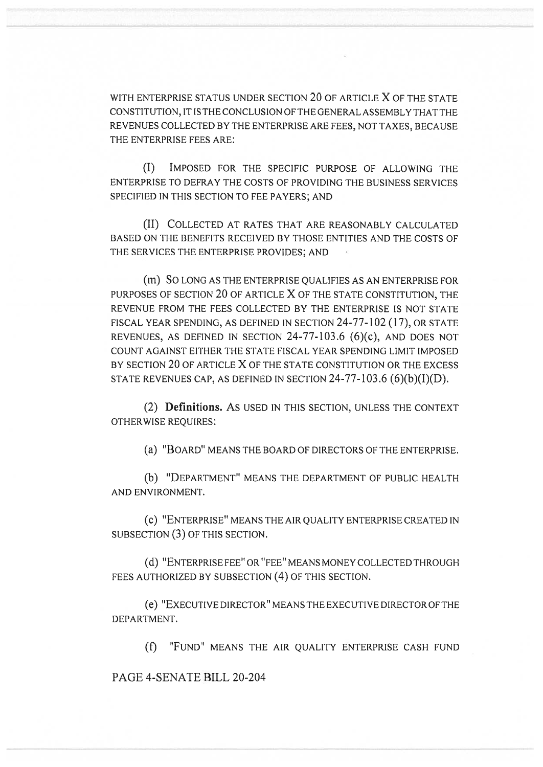WITH ENTERPRISE STATUS UNDER SECTION 20 OF ARTICLE X OF THE STATE CONSTITUTION, IT IS THE CONCLUSION OF THE GENERAL ASSEMBLY THAT THE REVENUES COLLECTED BY THE ENTERPRISE ARE FEES, NOT TAXES, BECAUSE THE ENTERPRISE FEES ARE:

(I) IMPOSED FOR THE SPECIFIC PURPOSE OF ALLOWING THE ENTERPRISE TO DEFRAY THE COSTS OF PROVIDING THE BUSINESS SERVICES SPECIFIED IN THIS SECTION TO FEE PAYERS; AND

(II) COLLECTED AT RATES THAT ARE REASONABLY CALCULATED BASED ON THE BENEFITS RECEIVED BY THOSE ENTITIES AND THE COSTS OF THE SERVICES THE ENTERPRISE PROVIDES; AND

(m) SO LONG AS THE ENTERPRISE QUALIFIES AS AN ENTERPRISE FOR PURPOSES OF SECTION 20 OF ARTICLE X OF THE STATE CONSTITUTION, THE REVENUE FROM THE FEES COLLECTED BY THE ENTERPRISE IS NOT STATE FISCAL YEAR SPENDING, AS DEFINED IN SECTION 24-77-102 (17), OR STATE REVENUES, AS DEFINED IN SECTION 24-77-103.6 (6)(c), AND DOES NOT COUNT AGAINST EITHER THE STATE FISCAL YEAR SPENDING LIMIT IMPOSED BY SECTION 20 OF ARTICLE X OF THE STATE CONSTITUTION OR THE EXCESS STATE REVENUES CAP, AS DEFINED IN SECTION  $24-77-103.6$  (6)(b)(I)(D).

(2) **Definitions.** AS USED IN THIS SECTION, UNLESS THE CONTEXT OTHERWISE REQUIRES:

(a) "BOARD" MEANS THE BOARD OF DIRECTORS OF THE ENTERPRISE.

(b) "DEPARTMENT" MEANS THE DEPARTMENT OF PUBLIC HEALTH AND ENVIRONMENT.

(c) "ENTERPRISE" MEANS THE AIR QUALITY ENTERPRISE CREATED IN SUBSECTION (3) OF THIS SECTION.

(d) "ENTERPRISE FEE" OR "FEE" MEANS MONEY COLLECTED THROUGH FEES AUTHORIZED BY SUBSECTION (4) OF THIS SECTION.

(e) "EXECUTIVE DIRECTOR" MEANS THE EXECUTIVE DIRECTOR OF THE DEPARTMENT.

(f) "FUND" MEANS THE AIR QUALITY ENTERPRISE CASH FUND

PAGE 4-SENATE BILL 20-204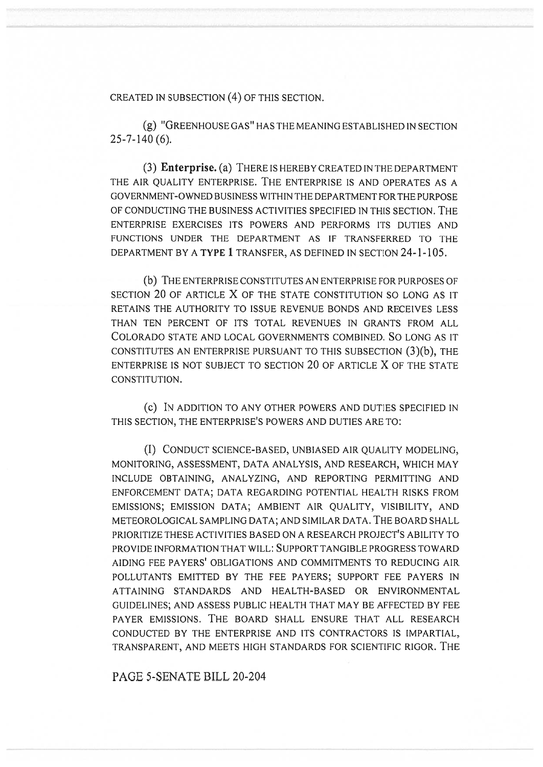CREATED IN SUBSECTION (4) OF THIS SECTION.

(g) "GREENHOUSE GAS" HAS THE MEANING ESTABLISHED IN SECTION 25-7-140 (6).

(3) **Enterprise.** (a) THERE IS HEREBY CREATED IN THE DEPARTMENT THE AIR QUALITY ENTERPRISE. THE ENTERPRISE IS AND OPERATES AS A GOVERNMENT-OWNED BUSINESS WITHIN THE DEPARTMENT FOR THE PURPOSE OF CONDUCTING THE BUSINESS ACTIVITIES SPECIFIED IN THIS SECTION. THE ENTERPRISE EXERCISES ITS POWERS AND PERFORMS ITS DUTIES AND FUNCTIONS UNDER THE DEPARTMENT AS IF TRANSFERRED TO THE DEPARTMENT BY A TYPE 1 TRANSFER, AS DEFINED IN SECTION 24-1-105.

(b) THE ENTERPRISE CONSTITUTES AN ENTERPRISE FOR PURPOSES OF SECTION 20 OF ARTICLE X OF THE STATE CONSTITUTION SO LONG AS IT RETAINS THE AUTHORITY TO ISSUE REVENUE BONDS AND RECEIVES LESS THAN TEN PERCENT OF ITS TOTAL REVENUES IN GRANTS FROM ALL COLORADO STATE AND LOCAL GOVERNMENTS COMBINED. SOLONG AS IT CONSTITUTES AN ENTERPRISE PURSUANT TO THIS SUBSECTION (3)(b), THE ENTERPRISE IS NOT SUBJECT TO SECTION 20 OF ARTICLE X OF THE STATE CONSTITUTION.

(c) IN ADDITION TO ANY OTHER POWERS AND DUTIES SPECIFIED IN THIS SECTION, THE ENTERPRISE'S POWERS AND DUTIES ARE TO:

(I) CONDUCT SCIENCE-BASED, UNBIASED AIR QUALITY MODELING, MONITORING, ASSESSMENT, DATA ANALYSIS, AND RESEARCH, WHICH MAY INCLUDE OBTAINING, ANALYZING, AND REPORTING PERMITTING AND ENFORCEMENT DATA; DATA REGARDING POTENTIAL HEALTH RISKS FROM EMISSIONS; EMISSION DATA; AMBIENT AIR QUALITY, VISIBILITY, AND METEOROLOGICAL SAMPLING DATA; AND SIMILAR DATA. THE BOARD SHALL PRIORITIZE THESE ACTIVITIES BASED ON A RESEARCH PROJECT'S ABILITY TO PROVIDE INFORMATION THAT WILL: SUPPORT TANGIBLE PROGRESS TOWARD AIDING FEE PAYERS' OBLIGATIONS AND COMMITMENTS TO REDUCING AIR POLLUTANTS EMITTED BY THE FEE PAYERS; SUPPORT FEE PAYERS IN ATTAINING STANDARDS AND HEALTH-BASED OR ENVIRONMENTAL GUIDELINES; AND ASSESS PUBLIC HEALTH THAT MAY BE AFFECTED BY FEE PAYER EMISSIONS. THE BOARD SHALL ENSURE THAT ALL RESEARCH CONDUCTED BY THE ENTERPRISE AND ITS CONTRACTORS IS IMPARTIAL, TRANSPARENT, AND MEETS HIGH STANDARDS FOR SCIENTIFIC RIGOR. THE

PAGE 5-SENATE BILL 20-204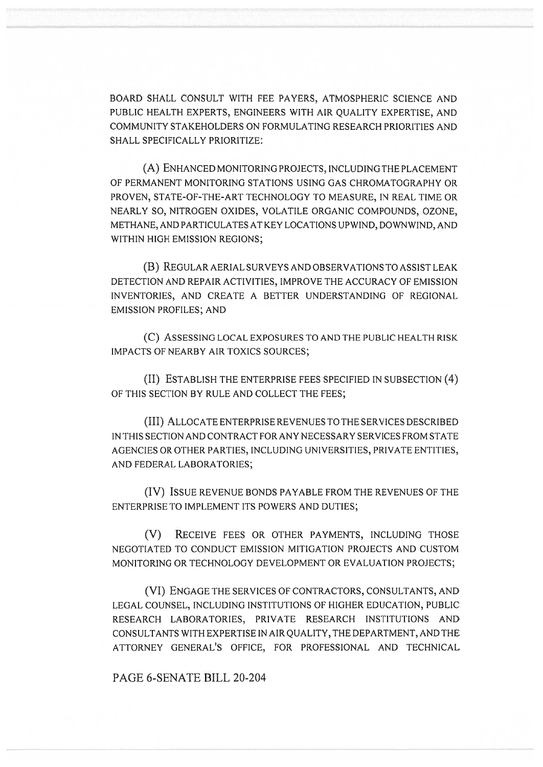BOARD SHALL CONSULT WITH FEE PAYERS, ATMOSPHERIC SCIENCE AND PUBLIC HEALTH EXPERTS, ENGINEERS WITH AIR QUALITY EXPERTISE, AND COMMUNITY STAKEHOLDERS ON FORMULATING RESEARCH PRIORITIES AND SHALL SPECIFICALLY PRIORITIZE:

(A) ENHANCED MONITORING PROJECTS, INCLUDING THE PLACEMENT OF PERMANENT MONITORING STATIONS USING GAS CHROMATOGRAPHY OR PROVEN, STATE-OF-THE-ART TECHNOLOGY TO MEASURE, IN REAL TIME OR NEARLY SO, NITROGEN OXIDES, VOLATILE ORGANIC COMPOUNDS, OZONE, METHANE, AND PARTICULATES AT KEY LOCATIONS UPWIND, DOWNWIND, AND WITHIN HIGH EMISSION REGIONS;

(B) REGULAR AERIAL SURVEYS AND OBSERVATIONS TO ASSIST LEAK DETECTION AND REPAIR ACTIVITIES, IMPROVE THE ACCURACY OF EMISSION INVENTORIES, AND CREATE A BETTER UNDERSTANDING OF REGIONAL EMISSION PROFILES; AND

(C) ASSESSING LOCAL EXPOSURES TO AND THE PUBLIC HEALTH RISK IMPACTS OF NEARBY AIR TOXICS SOURCES;

(II) ESTABLISH THE ENTERPRISE FEES SPECIFIED IN SUBSECTION (4) OF THIS SECTION BY RULE AND COLLECT THE FEES;

(III) ALLOCATE ENTERPRISE REVENUES TO THE SERVICES DESCRIBED IN THIS SECTION AND CONTRACT FOR ANY NECESSARY SERVICES FROM STATE AGENCIES OR OTHER PARTIES, INCLUDING UNIVERSITIES, PRIVATE ENTITIES, AND FEDERAL LABORATORIES;

(IV) ISSUE REVENUE BONDS PAYABLE FROM THE REVENUES OF THE ENTERPRISE TO IMPLEMENT ITS POWERS AND DUTIES;

(V) RECEIVE FEES OR OTHER PAYMENTS, INCLUDING THOSE NEGOTIATED TO CONDUCT EMISSION MITIGATION PROJECTS AND CUSTOM MONITORING OR TECHNOLOGY DEVELOPMENT OR EVALUATION PROJECTS;

(VI) ENGAGE THE SERVICES OF CONTRACTORS, CONSULTANTS, AND LEGAL COUNSEL, INCLUDING INSTITUTIONS OF HIGHER EDUCATION, PUBLIC RESEARCH LABORATORIES, PRIVATE RESEARCH INSTITUTIONS AND CONSULTANTS WITH EXPERTISE IN AIR QUALITY, THE DEPARTMENT, AND THE ATTORNEY GENERAL'S OFFICE, FOR PROFESSIONAL AND TECHNICAL

PAGE 6-SENATE BILL 20-204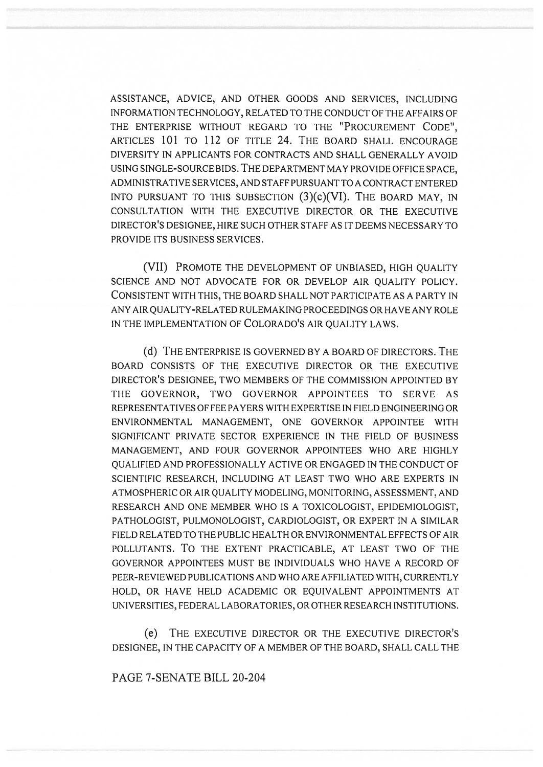ASSISTANCE, ADVICE, AND OTHER GOODS AND SERVICES, INCLUDING INFORMATION TECHNOLOGY, RELATED TO THE CONDUCT OF THE AFFAIRS OF THE ENTERPRISE WITHOUT REGARD TO THE "PROCUREMENT CODE", ARTICLES 101 TO 112 OF TITLE 24. THE BOARD SHALL ENCOURAGE DIVERSITY IN APPLICANTS FOR CONTRACTS AND SHALL GENERALLY AVOID USING SINGLE-SOURCE BIDS. THE DEPARTMENT MAY PROVIDE OFFICE SPACE, ADMINISTRATIVE SERVICES, AND STAFF PURSUANT TO A CONTRACT ENTERED INTO PURSUANT TO THIS SUBSECTION  $(3)(c)(VI)$ . The BOARD MAY, IN CONSULTATION WITH THE EXECUTIVE DIRECTOR OR THE EXECUTIVE DIRECTOR'S DESIGNEE, HIRE SUCH OTHER STAFF AS IT DEEMS NECESSARY TO PROVIDE ITS BUSINESS SERVICES.

(VII) PROMOTE THE DEVELOPMENT OF UNBIASED, HIGH QUALITY SCIENCE AND NOT ADVOCATE FOR OR DEVELOP AIR QUALITY POLICY. CONSISTENT WITH THIS, THE BOARD SHALL NOT PARTICIPATE AS A PARTY IN ANY AIR QUALITY-RELATED RULEMAKING PROCEEDINGS OR HAVE ANY ROLE IN THE IMPLEMENTATION OF COLORADO'S AIR QUALITY LAWS.

(d) THE ENTERPRISE IS GOVERNED BY A BOARD OF DIRECTORS. THE BOARD CONSISTS OF THE EXECUTIVE DIRECTOR OR THE EXECUTIVE DIRECTOR'S DESIGNEE, TWO MEMBERS OF THE COMMISSION APPOINTED BY THE GOVERNOR, TWO GOVERNOR APPOINTEES TO SERVE AS REPRESENTATIVES OF FEE PAYERS WITH EXPERTISE IN FIELD ENGINEERING OR ENVIRONMENTAL MANAGEMENT, ONE GOVERNOR APPOINTEE WITH SIGNIFICANT PRIVATE SECTOR EXPERIENCE IN THE FIELD OF BUSINESS MANAGEMENT, AND FOUR GOVERNOR APPOINTEES WHO ARE HIGHLY QUALIFIED AND PROFESSIONALLY ACTIVE OR ENGAGED IN THE CONDUCT OF SCIENTIFIC RESEARCH, INCLUDING AT LEAST TWO WHO ARE EXPERTS IN ATMOSPHERIC OR AIR QUALITY MODELING, MONITORING, ASSESSMENT, AND RESEARCH AND ONE MEMBER WHO IS A TOXICOLOGIST, EPIDEMIOLOGIST, PATHOLOGIST, PULMONOLOGIST, CARDIOLOGIST, OR EXPERT IN A SIMILAR FIELD RELATED TO THE PUBLIC HEALTH OR ENVIRONMENTAL EFFECTS OF AIR POLLUTANTS. To THE EXTENT PRACTICABLE, AT LEAST TWO OF THE GOVERNOR APPOINTEES MUST BE INDIVIDUALS WHO HAVE A RECORD OF PEER-REVIEWED PUBLICATIONS AND WHO ARE AFFILIATED WITH, CURRENTLY HOLD, OR HAVE HELD ACADEMIC OR EQUIVALENT APPOINTMENTS AT UNIVERSITIES, FEDERAL LABORATORIES, OR OTHER RESEARCH INSTITUTIONS.

(e) THE EXECUTIVE DIRECTOR OR THE EXECUTIVE DIRECTOR'S DESIGNEE, IN THE CAPACITY OF A MEMBER OF THE BOARD, SHALL CALL THE

PAGE 7-SENATE RILL 20-204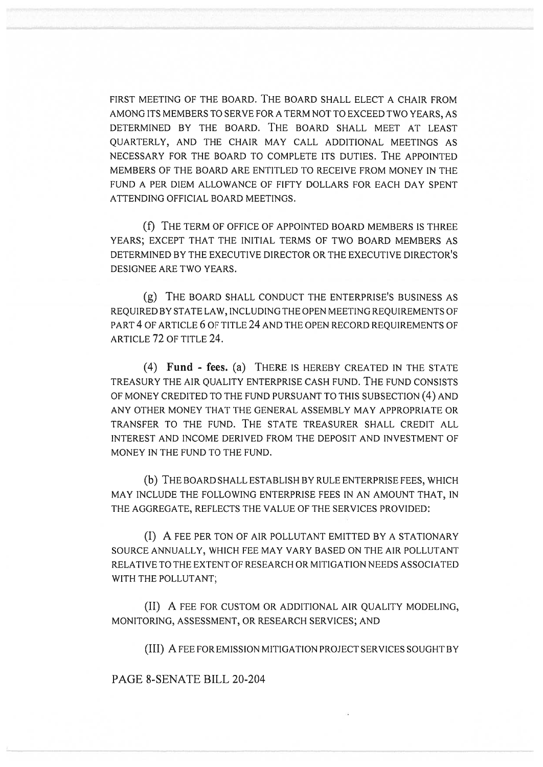FIRST MEETING OF THE BOARD. THE BOARD SHALL ELECT A CHAIR FROM AMONG ITS MEMBERS TO SERVE FOR A TERM NOT TO EXCEED TWO YEARS, AS DETERMINED BY THE BOARD. THE BOARD SHALL MEET AT LEAST QUARTERLY, AND THE CHAIR MAY CALL ADDITIONAL MEETINGS AS NECESSARY FOR THE BOARD TO COMPLETE ITS DUTIES. THE APPOINTED MEMBERS OF THE BOARD ARE ENTITLED TO RECEIVE FROM MONEY IN THE FUND A PER DIEM ALLOWANCE OF FIFTY DOLLARS FOR EACH DAY SPENT ATTENDING OFFICIAL BOARD MEETINGS.

(f) THE TERM OF OFFICE OF APPOINTED BOARD MEMBERS IS THREE YEARS; EXCEPT THAT THE INITIAL TERMS OF TWO BOARD MEMBERS AS DETERMINED BY THE EXECUTIVE DIRECTOR OR THE EXECUTIVE DIRECTOR'S DESIGNEE ARE TWO YEARS.

(g) THE BOARD SHALL CONDUCT THE ENTERPRISE'S BUSINESS AS REQUIRED BY STATE LAW, INCLUDING THE OPEN MEETING REQUIREMENTS OF PART 4 OF ARTICLE 6 OF TITLE 24 AND THE OPEN RECORD REQUIREMENTS OF ARTICLE 72 OF TITLE 24.

(4) **Fund - fees.** (a) THERE IS HEREBY CREATED IN THE STATE TREASURY THE AIR QUALITY ENTERPRISE CASH FUND. THE FUND CONSISTS OF MONEY CREDITED TO THE FUND PURSUANT TO THIS SUBSECTION (4) AND ANY OTHER MONEY THAT THE GENERAL ASSEMBLY MAY APPROPRIATE OR TRANSFER TO THE FUND. THE STATE TREASURER SHALL CREDIT ALL INTEREST AND INCOME DERIVED FROM THE DEPOSIT AND INVESTMENT OF MONEY IN THE FUND TO THE FUND.

(b) THE BOARD SHALL ESTABLISH BY RULE ENTERPRISE FEES, WHICH MAY INCLUDE THE FOLLOWING ENTERPRISE FEES IN AN AMOUNT THAT, IN THE AGGREGATE, REFLECTS THE VALUE OF THE SERVICES PROVIDED:

(I) A FEE PER TON OF AIR POLLUTANT EMITTED BY A STATIONARY SOURCE ANNUALLY, WHICH FEE MAY VARY BASED ON THE AIR POLLUTANT RELATIVE TO THE EXTENT OF RESEARCH OR MITIGATION NEEDS ASSOCIATED WITH THE POLLUTANT;

(II) A FEE FOR CUSTOM OR ADDITIONAL AIR QUALITY MODELING, MONITORING, ASSESSMENT, OR RESEARCH SERVICES; AND

(III) A FEE FOR EMISSION MITIGATION PROJECT SERVICES SOUGHT BY

PAGE 8-SENATE BILL 20-204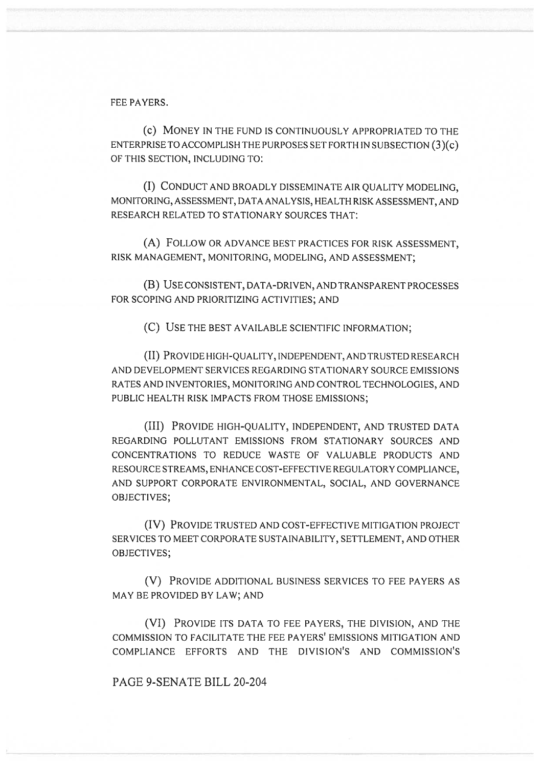FEE PAYERS.

(c) MONEY IN THE FUND IS CONTINUOUSLY APPROPRIATED TO THE ENTERPRISE TO ACCOMPLISH THE PURPOSES SET FORTH IN SUBSECTION (3)(c) OF THIS SECTION, INCLUDING TO:

(I) CONDUCT AND BROADLY DISSEMINATE AIR QUALITY MODELING, MONITORING, ASSESSMENT, DATA ANALYSIS, HEALTH RISK ASSESSMENT, AND RESEARCH RELATED TO STATIONARY SOURCES THAT:

(A) FOLLOW OR ADVANCE BEST PRACTICES FOR RISK ASSESSMENT, RISK MANAGEMENT, MONITORING, MODELING, AND ASSESSMENT;

(B) USE CONSISTENT, DATA-DRIVEN, AND TRANSPARENT PROCESSES FOR SCOPING AND PRIORITIZING ACTIVITIES; AND

(C) USE THE BEST AVAILABLE SCIENTIFIC INFORMATION;

(II) PROVIDE HIGH-QUALITY, INDEPENDENT, AND TRUSTED RESEARCH AND DEVELOPMENT SERVICES REGARDING STATIONARY SOURCE EMISSIONS RATES AND INVENTORIES, MONITORING AND CONTROL TECHNOLOGIES, AND PUBLIC HEALTH RISK IMPACTS FROM THOSE EMISSIONS;

(III) PROVIDE HIGH-QUALITY, INDEPENDENT, AND TRUSTED DATA REGARDING POLLUTANT EMISSIONS FROM STATIONARY SOURCES AND CONCENTRATIONS TO REDUCE WASTE OF VALUABLE PRODUCTS AND RESOURCE STREAMS, ENHANCE COST-EFFECTIVE REGULATORY COMPLIANCE, AND SUPPORT CORPORATE ENVIRONMENTAL, SOCIAL, AND GOVERNANCE OBJECTIVES;

(IV) PROVIDE TRUSTED AND COST-EFFECTIVE MITIGATION PROJECT SERVICES TO MEET CORPORATE SUSTAINABILITY, SETTLEMENT, AND OTHER OBJECTIVES;

(V) PROVIDE ADDITIONAL BUSINESS SERVICES TO FEE PAYERS AS MAY BE PROVIDED BY LAW; AND

(VI) PROVIDE ITS DATA TO FEE PAYERS, THE DIVISION, AND THE COMMISSION TO FACILITATE THE FEE PAYERS' EMISSIONS MITIGATION AND COMPLIANCE EFFORTS AND THE DIVISION'S AND COMMISSION'S

PAGE 9-SENATE BILL 20-204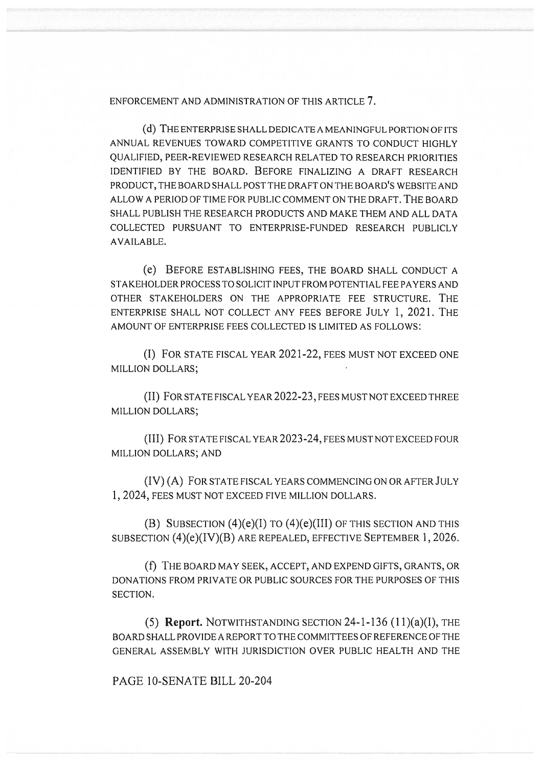ENFORCEMENT AND ADMINISTRATION OF THIS ARTICLE 7.

(d) THE ENTERPRISE SHALL DEDICATE A MEANINGFUL PORTION OF ITS ANNUAL REVENUES TOWARD COMPETITIVE GRANTS TO CONDUCT HIGHLY QUALIFIED, PEER-REVIEWED RESEARCH RELATED TO RESEARCH PRIORITIES IDENTIFIED BY THE BOARD. BEFORE FINALIZING A DRAFT RESEARCH PRODUCT, THE BOARD SHALL POST THE DRAFT ON THE BOARD'S WEBSITE AND ALLOW A PERIOD OF TIME FOR PUBLIC COMMENT ON THE DRAFT. THE BOARD SHALL PUBLISH THE RESEARCH PRODUCTS AND MAKE THEM AND ALL DATA COLLECTED PURSUANT TO ENTERPRISE-FUNDED RESEARCH PUBLICLY AVAILABLE.

(e) BEFORE ESTABLISHING FEES, THE BOARD SHALL CONDUCT A STAKEHOLDER PROCESS TO SOLICIT INPUT FROM POTENTIAL FEE PAYERS AND OTHER STAKEHOLDERS ON THE APPROPRIATE FEE STRUCTURE. THE ENTERPRISE SHALL NOT COLLECT ANY FEES BEFORE JULY 1, 2021. THE AMOUNT OF ENTERPRISE FEES COLLECTED IS LIMITED AS FOLLOWS:

(I) FOR STATE FISCAL YEAR 2021-22, FEES MUST NOT EXCEED ONE MILLION DOLLARS;

(II) FOR STATE FISCAL YEAR 2022-23, FEES MUST NOT EXCEED THREE MILLION DOLLARS;

(III) FOR STATE FISCAL YEAR 2023-24, FEES MUST NOT EXCEED FOUR MILLION DOLLARS; AND

(IV) (A) FOR STATE FISCAL YEARS COMMENCING ON OR AFTER JULY 1, 2024, FEES MUST NOT EXCEED FIVE MILLION DOLLARS.

(B) SUBSECTION  $(4)(e)(I)$  TO  $(4)(e)(III)$  OF THIS SECTION AND THIS SUBSECTION (4)(e)(IV)(B) ARE REPEALED, EFFECTIVE SEPTEMBER 1, 2026.

(f) THE BOARD MAY SEEK, ACCEPT, AND EXPEND GIFTS, GRANTS, OR DONATIONS FROM PRIVATE OR PUBLIC SOURCES FOR THE PURPOSES OF THIS SECTION.

(5) **Report.** NOTWITHSTANDING SECTION 24-1-136 (11)(a)(I), THE BOARD SHALL PROVIDE A REPORT TO THE COMMITTEES OF REFERENCE OF THE GENERAL ASSEMBLY WITH JURISDICTION OVER PUBLIC HEALTH AND THE

PAGE 10-SENATE BILL 20-204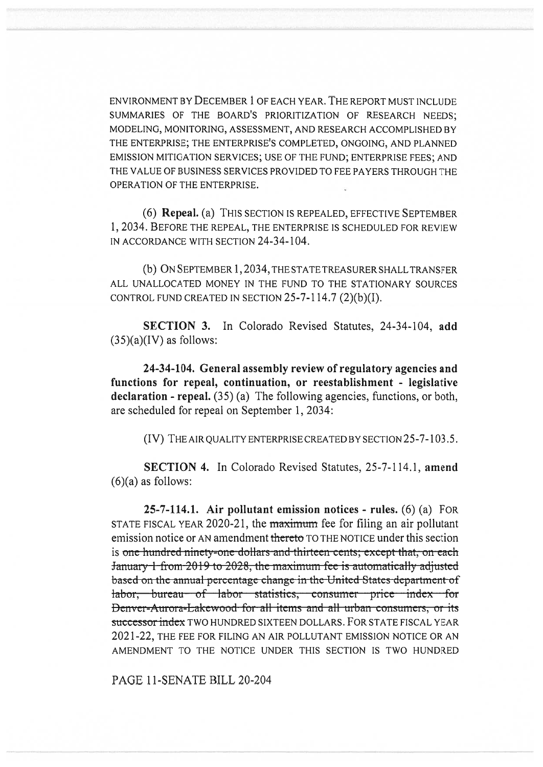ENVIRONMENT BY DECEMBER 1 OF EACH YEAR. THE REPORT MUST INCLUDE SUMMARIES OF THE BOARD'S PRIORITIZATION OF RESEARCH NEEDS; MODELING, MONITORING, ASSESSMENT, AND RESEARCH ACCOMPLISHED BY THE ENTERPRISE; THE ENTERPRISE'S COMPLETED, ONGOING, AND PLANNED EMISSION MITIGATION SERVICES; USE OF THE FUND; ENTERPRISE FEES; AND THE VALUE OF BUSINESS SERVICES PROVIDED TO FEE PAYERS THROUGH THE OPERATION OF THE ENTERPRISE.

(6) **Repeal.** (a) THIS SECTION IS REPEALED, EFFECTIVE SEPTEMBER 1, 2034. BEFORE THE REPEAL, THE ENTERPRISE IS SCHEDULED FOR REVIEW IN ACCORDANCE WITH SECTION 24-34-104.

(b) ON SEPTEMBER 1,2034, THE STATE TREASURER SHALL TRANSFER ALL UNALLOCATED MONEY IN THE FUND TO THE STATIONARY SOURCES CONTROL FUND CREATED IN SECTION 25-7-114.7 (2)(b)(I).

**SECTION 3.** In Colorado Revised Statutes, 24-34-104, **add**   $(35)(a)(IV)$  as follows:

**24-34-104. General assembly review of regulatory agencies and functions for repeal, continuation, or reestablishment - legislative**  declaration - repeal. (35) (a) The following agencies, functions, or both, are scheduled for repeal on September 1, 2034:

(IV) THE AIR QUALITY ENTERPRISE CREATED BY SECTION 25-7-103.5.

**SECTION 4.** In Colorado Revised Statutes, 25-7-114.1, **amend**   $(6)(a)$  as follows:

**25-7-114.1. Air pollutant emission notices - rules.** (6) (a) FOR STATE FISCAL YEAR 2020-21, the **maximum** fee for filing an air pollutant emission notice or AN amendment thereto TO THE NOTICE under this section is one hundred ninety-one dollars and thirteen cents; except that, on each January 1 from 2019 to 2028, the maximum fee is automatically adjusted based on the annual-percentage-change-in-the-United-States-department-of labor, bureau of labor statistics, consumer price index for Denver-Aurora-Lakewood for all items and all urban consumers, or its successor index TWO HUNDRED SIXTEEN DOLLARS. FOR STATE FISCAL YEAR 2021-22, THE FEE FOR FILING AN AIR POLLUTANT EMISSION NOTICE OR AN AMENDMENT TO THE NOTICE UNDER THIS SECTION IS TWO HUNDRED

PAGE 11-SENATE BILL 20-204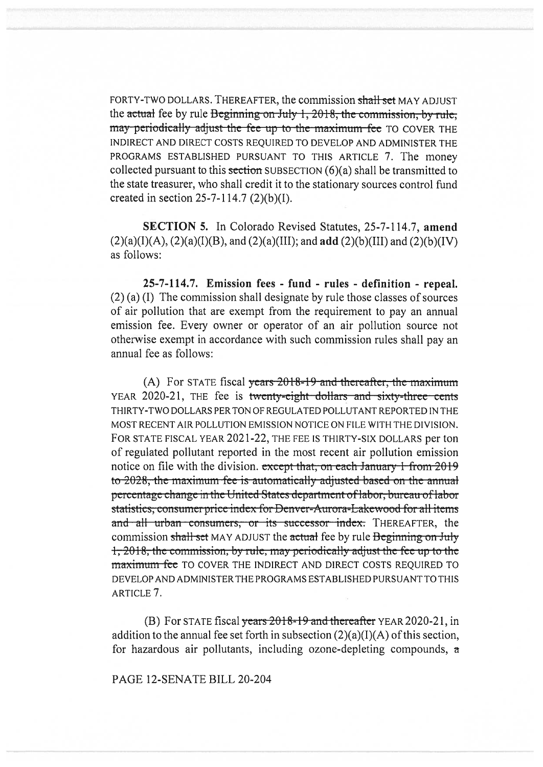FORTY-TWO DOLLARS. THEREAFTER, the commission shall set MAY ADJUST the actual fee by rule Beginning on July 1, 2018, the commission, by rule, may periodically adjust the fee up to the maximum-fee TO COVER THE INDIRECT AND DIRECT COSTS REQUIRED TO DEVELOP AND ADMINISTER THE PROGRAMS ESTABLISHED PURSUANT TO THIS ARTICLE 7. The money collected pursuant to this section SUBSECTION  $(6)(a)$  shall be transmitted to the state treasurer, who shall credit it to the stationary sources control fund created in section 25-7-114.7 (2)(b)(I).

SECTION 5. In Colorado Revised Statutes, 25-7-114.7, amend  $(2)(a)(I)(A)$ ,  $(2)(a)(I)(B)$ , and  $(2)(a)(III)$ ; and add  $(2)(b)(III)$  and  $(2)(b)(IV)$ as follows:

25-7-114.7. Emission fees - fund - rules - definition - repeal. (2) (a) (I) The commission shall designate by rule those classes of sources of air pollution that are exempt from the requirement to pay an annual emission fee. Every owner or operator of an air pollution source not otherwise exempt in accordance with such commission rules shall pay an annual fee as follows:

(A) For STATE fiscal years  $2018-19$  and thereafter, the maximum YEAR 2020-21, THE fee is twenty-eight dollars and sixty-three cents THIRTY-TWO DOLLARS PER TON OF REGULATED POLLUTANT REPORTED IN THE MOST RECENT AIR POLLUTION EMISSION NOTICE ON FILE WITH THE DIVISION. FOR STATE FISCAL YEAR 2021-22, THE FEE IS THIRTY-SIX DOLLARS per ton of regulated pollutant reported in the most recent air pollution emission notice on file with the division. except that, on each January 1 from 2019 to 2028, the maximum fee is automatically adjusted based on the annual percentage change in the United States department of labor, bureau of labor statistics, consumer price index for Denver-Aurora-Lakewood for all items and all urban consumers, or its successor index. THEREAFTER, the commission shall set MAY ADJUST the actual fee by rule Beginning on July 1, 2018, the commission, by rule, may periodically adjust the fee up to the maximum fee TO COVER THE INDIRECT AND DIRECT COSTS REQUIRED TO DEVELOP AND ADMINISTER THE PROGRAMS ESTABLISHED PURSUANT TO THIS ARTICLE 7.

(B) For STATE fiscal years  $2018 - 19$  and thereafter YEAR 2020-21, in addition to the annual fee set forth in subsection  $(2)(a)(I)(A)$  of this section, for hazardous air pollutants, including ozone-depleting compounds, a

PAGE 12-SENATE BILL 20-204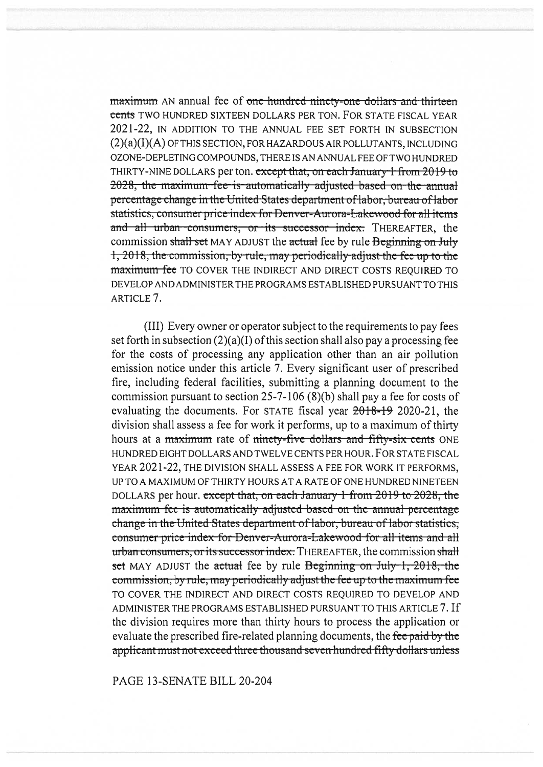maximum AN annual fee of one hundred ninety-one dollars and thirteen cents TWO HUNDRED SIXTEEN DOLLARS PER TON. FOR STATE FISCAL YEAR 2021-22, IN ADDITION TO THE ANNUAL FEE SET FORTH IN SUBSECTION (2)(a)(I)(A) OF THIS SECTION, FOR HAZARDOUS AIR POLLUTANTS, INCLUDING OZONE-DEPLETING COMPOUNDS, THERE IS AN ANNUAL FEE OF TWO HUNDRED THIRTY-NINE DOLLARS per ton. except that, on each January 1 from 2019 to 2028, the maximum-fee-is-automatically adjusted based on the annual percentage change in the United States department of labor, bureau of labor statistics, consumer price index for Denver-Aurora-Lakewood for all items and all urban consumers, or its successor index. THEREAFTER, the commission shall set MAY ADJUST the actual fee by rule Beginning on July  $1,2018$ , the commission, by rule, may periodically adjust the fee up to the maximum fee TO COVER THE INDIRECT AND DIRECT COSTS REQUIRED TO DEVELOP AND ADMINISTER THE PROGRAMS ESTABLISHED PURSUANT TO THIS ARTICLE 7.

(III) Every owner or operator subject to the requirements to pay fees set forth in subsection (2)(a)(I) of this section shall also pay a processing fee for the costs of processing any application other than an air pollution emission notice under this article 7. Every significant user of prescribed fire, including federal facilities, submitting a planning document to the commission pursuant to section 25-7-106 (8)(b) shall pay a fee for costs of evaluating the documents. For STATE fiscal year  $2018-19$  2020-21, the division shall assess a fee for work it performs, up to a maximum of thirty hours at a maximum rate of ninety-five dollars and fifty-six cents ONE HUNDRED EIGHT DOLLARS AND TWELVE CENTS PER HOUR. FOR STATE FISCAL YEAR 2021-22, THE DIVISION SHALL ASSESS A FEE FOR WORK IT PERFORMS, UP TO A MAXIMUM OF THIRTY HOURS AT A RATE OF ONE HUNDRED NINETEEN DOLLARS per hour. except that, on each January 1 from 2019 to 2028, the maximum-fee-is-automatically-adjusted-based on the-annual-percentage ge in the United States department of labor, bureau of labor statistics, consumer price index for Denver-Aurora-Lakewood for all items and all urban consumers, or its successor index. THEREAFTER, the commission shall set MAY ADJUST the actual fee by rule Beginning on July 1,  $2018$ , the commission, by rule, may periodically adjust the fee up to the maximum fee TO COVER THE INDIRECT AND DIRECT COSTS REQUIRED TO DEVELOP AND ADMINISTER THE PROGRAMS ESTABLISHED PURSUANT TO THIS ARTICLE 7. If the division requires more than thirty hours to process the application or evaluate the prescribed fire-related planning documents, the fee paid by the applicant must not exceed three thousand seven hundred fifty dollars unless

PAGE 13-SENATE BILL 20-204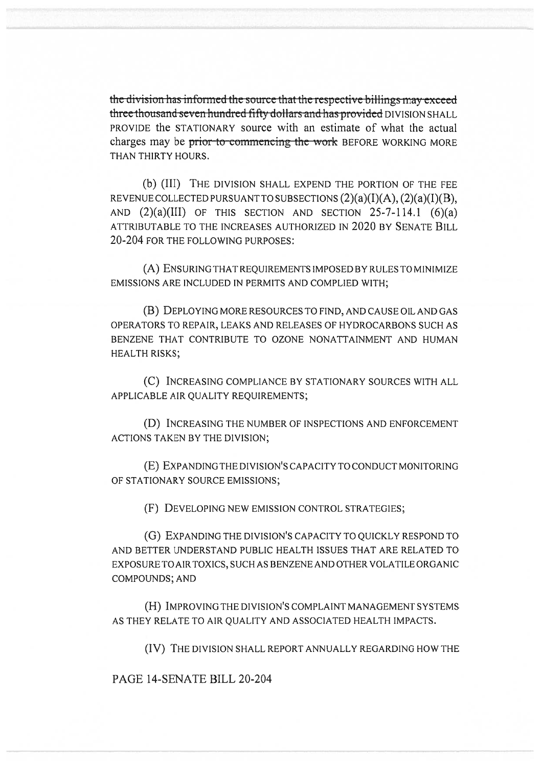the division has informed the source that the respective billings may exceed three thousand seven hundred fifty dollars and has provided DIVISION SHALL PROVIDE the STATIONARY source with an estimate of what the actual charges may be prior to commencing the work BEFORE WORKING MORE THAN THIRTY HOURS.

(b) (III) THE DIVISION SHALL EXPEND THE PORTION OF THE FEE REVENUE COLLECTED PURSUANT TO SUBSECTIONS  $(2)(a)(I)(A), (2)(a)(I)(B),$ AND  $(2)(a)(III)$  OF THIS SECTION AND SECTION 25-7-114.1  $(6)(a)$ ATTRIBUTABLE TO THE INCREASES AUTHORIZED IN 2020 BY SENATE BILL 20-204 FOR THE FOLLOWING PURPOSES:

(A) ENSURING THAT REQUIREMENTS IMPOSED BY RULES TO MINIMIZE EMISSIONS ARE INCLUDED IN PERMITS AND COMPLIED WITH;

(B) DEPLOYING MORE RESOURCES TO FIND, AND CAUSE OIL AND GAS OPERATORS TO REPAIR, LEAKS AND RELEASES OF HYDROCARBONS SUCH AS BENZENE THAT CONTRIBUTE TO OZONE NONATTAINMENT AND HUMAN HEALTH RISKS;

(C) INCREASING COMPLIANCE BY STATIONARY SOURCES WITH ALL APPLICABLE AIR QUALITY REQUIREMENTS;

(D) INCREASING THE NUMBER OF INSPECTIONS AND ENFORCEMENT ACTIONS TAKEN BY THE DIVISION;

(E) EXPANDING THE DIVISION'S CAPACITY TO CONDUCT MONITORING OF STATIONARY SOURCE EMISSIONS;

(F) DEVELOPING NEW EMISSION CONTROL STRATEGIES;

(G) EXPANDING THE DIVISION'S CAPACITY TO QUICKLY RESPOND TO AND BETTER UNDERSTAND PUBLIC HEALTH ISSUES THAT ARE RELATED TO EXPOSURE TO AIR TOXICS, SUCH AS BENZENE AND OTHER VOLATILE ORGANIC COMPOUNDS; AND

(H) IMPROVING THE DIVISION'S COMPLAINT MANAGEMENT SYSTEMS AS THEY RELATE TO AIR QUALITY AND ASSOCIATED HEALTH IMPACTS.

(IV) THE DIVISION SHALL REPORT ANNUALLY REGARDING HOW THE

PAGE 14-SENATE BILL 20-204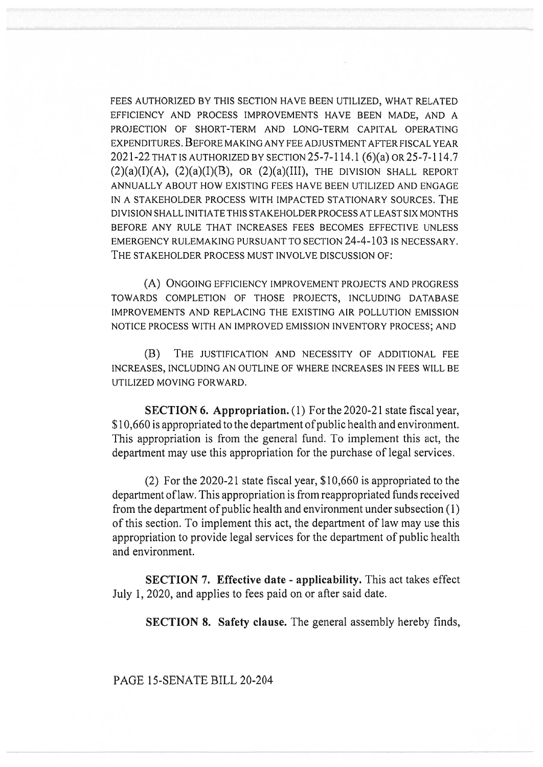FEES AUTHORIZED BY THIS SECTION HAVE BEEN UTILIZED, WHAT RELATED EFFICIENCY AND PROCESS IMPROVEMENTS HAVE BEEN MADE, AND A PROJECTION OF SHORT-TERM AND LONG-TERM CAPITAL OPERATING EXPENDITURES. BEFORE MAKING ANY FEE ADJUSTMENT AFTER FISCAL YEAR 2021-22 THAT IS AUTHORIZED BY SECTION 25-7-114.1 (6)(a) OR 25-7-114.7  $(2)(a)(I)(A), (2)(a)(I)(B),$  OR  $(2)(a)(III),$  THE DIVISION SHALL REPORT ANNUALLY ABOUT HOW EXISTING FEES HAVE BEEN UTILIZED AND ENGAGE IN A STAKEHOLDER PROCESS WITH IMPACTED STATIONARY SOURCES. THE DIVISION SHALL INITIATE THIS STAKEHOLDER PROCESS AT LEAST SIX MONTHS BEFORE ANY RULE THAT INCREASES FEES BECOMES EFFECTIVE UNLESS EMERGENCY RULEMAKING PURSUANT TO SECTION 24-4-103 IS NECESSARY. THE STAKEHOLDER PROCESS MUST INVOLVE DISCUSSION OF:

(A) ONGOING EFFICIENCY IMPROVEMENT PROJECTS AND PROGRESS TOWARDS COMPLETION OF THOSE PROJECTS, INCLUDING DATABASE IMPROVEMENTS AND REPLACING THE EXISTING AIR POLLUTION EMISSION NOTICE PROCESS WITH AN IMPROVED EMISSION INVENTORY PROCESS; AND

(B) THE JUSTIFICATION AND NECESSITY OF ADDITIONAL FEE INCREASES, INCLUDING AN OUTLINE OF WHERE INCREASES IN FEES WILL BE UTILIZED MOVING FORWARD.

**SECTION 6. Appropriation.** (1) For the 2020-21 state fiscal year, \$10,660 is appropriated to the department of public health and environment. This appropriation is from the general fund. To implement this act, the department may use this appropriation for the purchase of legal services.

(2) For the 2020-21 state fiscal year, \$10,660 is appropriated to the department of law. This appropriation is from reappropriated funds received from the department of public health and environment under subsection (1) of this section. To implement this act, the department of law may use this appropriation to provide legal services for the department of public health and environment.

**SECTION 7. Effective date - applicability.** This act takes effect July 1, 2020, and applies to fees paid on or after said date.

**SECTION 8. Safety clause.** The general assembly hereby finds,

PAGE 15-SENATE BILL 20-204